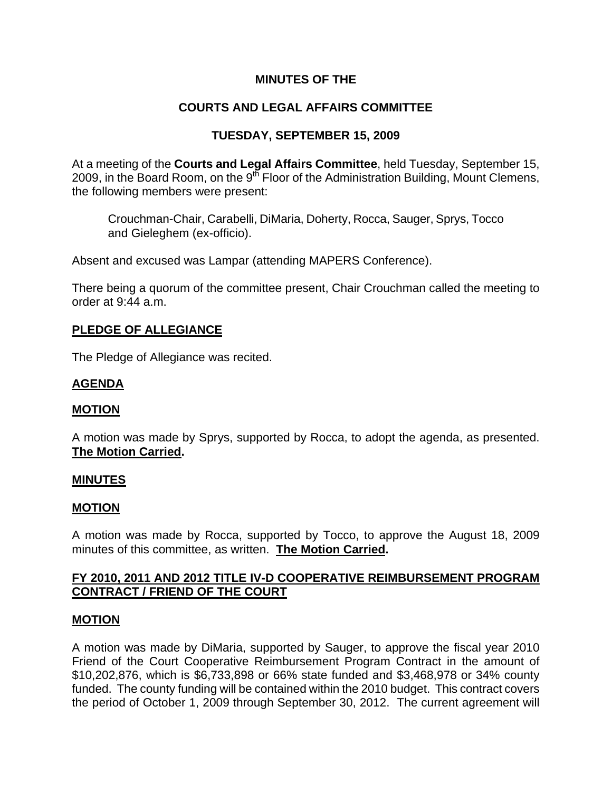## **MINUTES OF THE**

# **COURTS AND LEGAL AFFAIRS COMMITTEE**

## **TUESDAY, SEPTEMBER 15, 2009**

At a meeting of the **Courts and Legal Affairs Committee**, held Tuesday, September 15, 2009, in the Board Room, on the  $9^{15}$  Floor of the Administration Building, Mount Clemens, the following members were present:

Crouchman-Chair, Carabelli, DiMaria, Doherty, Rocca, Sauger, Sprys, Tocco and Gieleghem (ex-officio).

Absent and excused was Lampar (attending MAPERS Conference).

There being a quorum of the committee present, Chair Crouchman called the meeting to order at 9:44 a.m.

### **PLEDGE OF ALLEGIANCE**

The Pledge of Allegiance was recited.

### **AGENDA**

#### **MOTION**

A motion was made by Sprys, supported by Rocca, to adopt the agenda, as presented. **The Motion Carried.** 

#### **MINUTES**

#### **MOTION**

A motion was made by Rocca, supported by Tocco, to approve the August 18, 2009 minutes of this committee, as written. **The Motion Carried.** 

### **FY 2010, 2011 AND 2012 TITLE IV-D COOPERATIVE REIMBURSEMENT PROGRAM CONTRACT / FRIEND OF THE COURT**

#### **MOTION**

A motion was made by DiMaria, supported by Sauger, to approve the fiscal year 2010 Friend of the Court Cooperative Reimbursement Program Contract in the amount of \$10,202,876, which is \$6,733,898 or 66% state funded and \$3,468,978 or 34% county funded. The county funding will be contained within the 2010 budget. This contract covers the period of October 1, 2009 through September 30, 2012. The current agreement will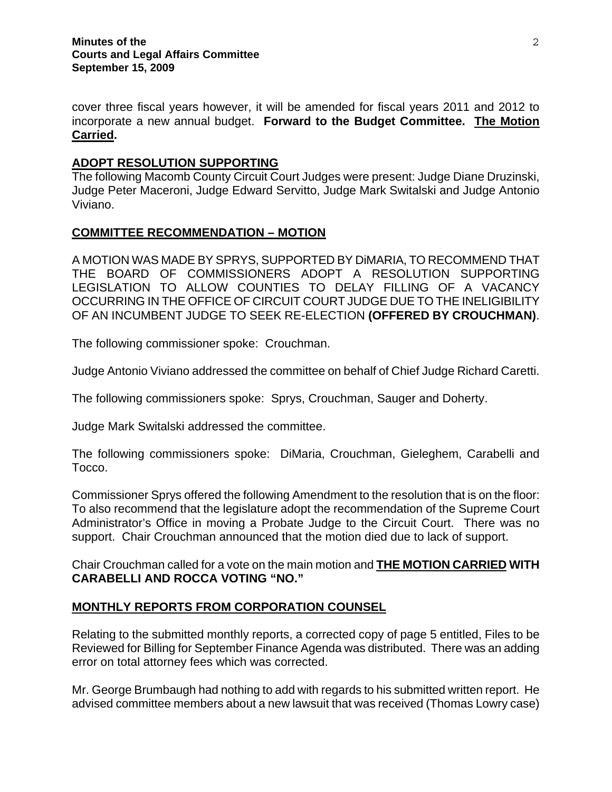cover three fiscal years however, it will be amended for fiscal years 2011 and 2012 to incorporate a new annual budget. **Forward to the Budget Committee. The Motion Carried.** 

## **ADOPT RESOLUTION SUPPORTING**

The following Macomb County Circuit Court Judges were present: Judge Diane Druzinski, Judge Peter Maceroni, Judge Edward Servitto, Judge Mark Switalski and Judge Antonio Viviano.

### **COMMITTEE RECOMMENDATION – MOTION**

A MOTION WAS MADE BY SPRYS, SUPPORTED BY DiMARIA, TO RECOMMEND THAT THE BOARD OF COMMISSIONERS ADOPT A RESOLUTION SUPPORTING LEGISLATION TO ALLOW COUNTIES TO DELAY FILLING OF A VACANCY OCCURRING IN THE OFFICE OF CIRCUIT COURT JUDGE DUE TO THE INELIGIBILITY OF AN INCUMBENT JUDGE TO SEEK RE-ELECTION **(OFFERED BY CROUCHMAN)**.

The following commissioner spoke: Crouchman.

Judge Antonio Viviano addressed the committee on behalf of Chief Judge Richard Caretti.

The following commissioners spoke: Sprys, Crouchman, Sauger and Doherty.

Judge Mark Switalski addressed the committee.

The following commissioners spoke: DiMaria, Crouchman, Gieleghem, Carabelli and Tocco.

Commissioner Sprys offered the following Amendment to the resolution that is on the floor: To also recommend that the legislature adopt the recommendation of the Supreme Court Administrator's Office in moving a Probate Judge to the Circuit Court. There was no support. Chair Crouchman announced that the motion died due to lack of support.

Chair Crouchman called for a vote on the main motion and **THE MOTION CARRIED WITH CARABELLI AND ROCCA VOTING "NO."** 

### **MONTHLY REPORTS FROM CORPORATION COUNSEL**

Relating to the submitted monthly reports, a corrected copy of page 5 entitled, Files to be Reviewed for Billing for September Finance Agenda was distributed. There was an adding error on total attorney fees which was corrected.

Mr. George Brumbaugh had nothing to add with regards to his submitted written report. He advised committee members about a new lawsuit that was received (Thomas Lowry case)